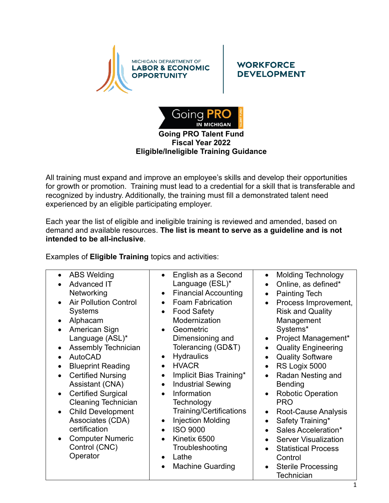

## **WORKFORCE DEVELOPMENT**



## **Eligible/Ineligible Training Guidance**

All training must expand and improve an employee's skills and develop their opportunities for growth or promotion. Training must lead to a credential for a skill that is transferable and recognized by industry. Additionally, the training must fill a demonstrated talent need experienced by an eligible participating employer.

Each year the list of eligible and ineligible training is reviewed and amended, based on demand and available resources. **The list is meant to serve as a guideline and is not intended to be all-inclusive**.

Examples of **Eligible Training** topics and activities: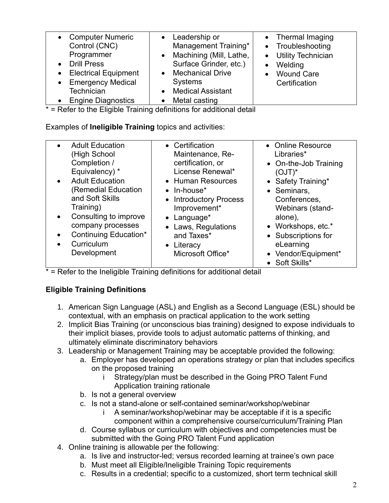| <b>Computer Numeric</b><br>Control (CNC)<br>Programmer<br><b>Drill Press</b><br><b>Electrical Equipment</b><br><b>Emergency Medical</b><br>$\bullet$<br>Technician<br><b>Engine Diagnostics</b> | • Leadership or<br>Management Training*<br>• Machining (Mill, Lathe,<br>Surface Grinder, etc.)<br><b>Mechanical Drive</b><br>$\bullet$<br><b>Systems</b><br><b>Medical Assistant</b><br>Metal casting | • Thermal Imaging<br>• Troubleshooting<br>• Utility Technician<br>Welding<br>• Wound Care<br>Certification |
|-------------------------------------------------------------------------------------------------------------------------------------------------------------------------------------------------|-------------------------------------------------------------------------------------------------------------------------------------------------------------------------------------------------------|------------------------------------------------------------------------------------------------------------|

 $*$  = Refer to the Eligible Training definitions for additional detail

Examples of **Ineligible Training** topics and activities:

| <b>Adult Education</b><br>(High School<br>Completion /<br>Equivalency) *<br><b>Adult Education</b><br>$\bullet$<br>(Remedial Education<br>and Soft Skills<br>Training)<br>Consulting to improve<br>$\bullet$<br>company processes<br>Continuing Education*<br>Curriculum<br>Development | • Certification<br>Maintenance, Re-<br>certification, or<br>License Renewal*<br>• Human Resources<br>$\bullet$ In-house <sup>*</sup><br>• Introductory Process<br>Improvement*<br>• Language*<br>• Laws, Regulations<br>and Taxes*<br>• Literacy<br>Microsoft Office* | • Online Resource<br>Libraries*<br>• On-the-Job Training<br>$(OJT)^*$<br>• Safety Training*<br>• Seminars,<br>Conferences,<br>Webinars (stand-<br>alone),<br>• Workshops, etc.*<br>• Subscriptions for<br>eLearning<br>• Vendor/Equipment*<br>• Soft Skills* |
|-----------------------------------------------------------------------------------------------------------------------------------------------------------------------------------------------------------------------------------------------------------------------------------------|-----------------------------------------------------------------------------------------------------------------------------------------------------------------------------------------------------------------------------------------------------------------------|--------------------------------------------------------------------------------------------------------------------------------------------------------------------------------------------------------------------------------------------------------------|
|-----------------------------------------------------------------------------------------------------------------------------------------------------------------------------------------------------------------------------------------------------------------------------------------|-----------------------------------------------------------------------------------------------------------------------------------------------------------------------------------------------------------------------------------------------------------------------|--------------------------------------------------------------------------------------------------------------------------------------------------------------------------------------------------------------------------------------------------------------|

= Refer to the Ineligible Training definitions for additional detail

## **Eligible Training Definitions**

- 1. American Sign Language (ASL) and English as a Second Language (ESL) should be contextual, with an emphasis on practical application to the work setting
- 2. Implicit Bias Training (or unconscious bias training) designed to expose individuals to their implicit biases, provide tools to adjust automatic patterns of thinking, and ultimately eliminate discriminatory behaviors
- 3. Leadership or Management Training may be acceptable provided the following:
	- a. Employer has developed an operations strategy or plan that includes specifics on the proposed training
		- i Strategy/plan must be described in the Going PRO Talent Fund Application training rationale
	- b. Is not a general overview
	- c. Is not a stand-alone or self-contained seminar/workshop/webinar
		- i A seminar/workshop/webinar may be acceptable if it is a specific component within a comprehensive course/curriculum/Training Plan
	- d. Course syllabus or curriculum with objectives and competencies must be submitted with the Going PRO Talent Fund application
- 4. Online training is allowable per the following:
	- a. Is live and instructor-led; versus recorded learning at trainee's own pace
	- b. Must meet all Eligible/Ineligible Training Topic requirements
	- c. Results in a credential; specific to a customized, short term technical skill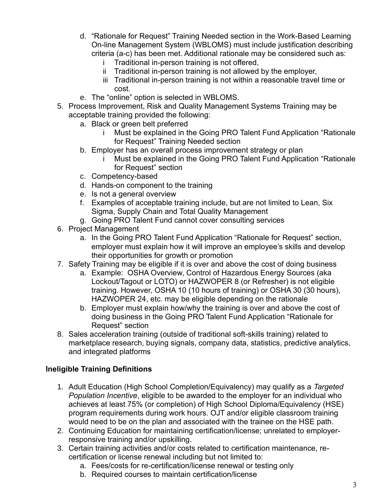- d. "Rationale for Request" Training Needed section in the Work-Based Learning On-line Management System (WBLOMS) must include justification describing criteria (a-c) has been met. Additional rationale may be considered such as:
	- Traditional in-person training is not offered,
	- ii Traditional in-person training is not allowed by the employer,
	- iii Traditional in-person training is not within a reasonable travel time or cost.
- e. The "online" option is selected in WBLOMS.
- 5. Process Improvement, Risk and Quality Management Systems Training may be acceptable training provided the following:
	- a. Black or green belt preferred
		- i Must be explained in the Going PRO Talent Fund Application "Rationale for Request" Training Needed section
	- b. Employer has an overall process improvement strategy or plan
		- Must be explained in the Going PRO Talent Fund Application "Rationale" for Request" section
	- c. Competency-based
	- d. Hands-on component to the training
	- e. Is not a general overview
	- f. Examples of acceptable training include, but are not limited to Lean, Six Sigma, Supply Chain and Total Quality Management
	- g. Going PRO Talent Fund cannot cover consulting services
- 6. Project Management
	- a. In the Going PRO Talent Fund Application "Rationale for Request" section, employer must explain how it will improve an employee's skills and develop their opportunities for growth or promotion
- 7. Safety Training may be eligible if it is over and above the cost of doing business
	- a. Example: OSHA Overview, Control of Hazardous Energy Sources (aka Lockout/Tagout or LOTO) or HAZWOPER 8 (or Refresher) is not eligible training. However, OSHA 10 (10 hours of training) or OSHA 30 (30 hours), HAZWOPER 24, etc. may be eligible depending on the rationale
	- b. Employer must explain how/why the training is over and above the cost of doing business in the Going PRO Talent Fund Application "Rationale for Request" section
- 8. Sales acceleration training (outside of traditional soft-skills training) related to marketplace research, buying signals, company data, statistics, predictive analytics, and integrated platforms

## **Ineligible Training Definitions**

- 1. Adult Education (High School Completion/Equivalency) may qualify as a *Targeted Population Incentive*, eligible to be awarded to the employer for an individual who achieves at least 75% (or completion) of High School Diploma/Equivalency (HSE) program requirements during work hours. OJT and/or eligible classroom training would need to be on the plan and associated with the trainee on the HSE path.
- 2. Continuing Education for maintaining certification/license; unrelated to employerresponsive training and/or upskilling.
- 3. Certain training activities and/or costs related to certification maintenance, recertification or license renewal including but not limited to:
	- a. Fees/costs for re-certification/license renewal or testing only
	- b. Required courses to maintain certification/license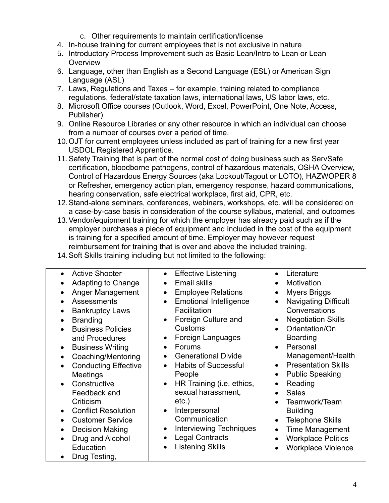- c. Other requirements to maintain certification/license
- 4. In-house training for current employees that is not exclusive in nature
- 5. Introductory Process Improvement such as Basic Lean/Intro to Lean or Lean **Overview**
- 6. Language, other than English as a Second Language (ESL) or American Sign Language (ASL)
- 7. Laws, Regulations and Taxes for example, training related to compliance regulations, federal/state taxation laws, international laws, US labor laws, etc.
- 8. Microsoft Office courses (Outlook, Word, Excel, PowerPoint, One Note, Access, Publisher)
- 9. Online Resource Libraries or any other resource in which an individual can choose from a number of courses over a period of time.
- 10.OJT for current employees unless included as part of training for a new first year USDOL Registered Apprentice.
- 11.Safety Training that is part of the normal cost of doing business such as ServSafe certification, bloodborne pathogens, control of hazardous materials, OSHA Overview, Control of Hazardous Energy Sources (aka Lockout/Tagout or LOTO), HAZWOPER 8 or Refresher, emergency action plan, emergency response, hazard communications, hearing conservation, safe electrical workplace, first aid, CPR, etc.
- 12.Stand-alone seminars, conferences, webinars, workshops, etc. will be considered on a case-by-case basis in consideration of the course syllabus, material, and outcomes
- 13.Vendor/equipment training for which the employer has already paid such as if the employer purchases a piece of equipment and included in the cost of the equipment is training for a specified amount of time. Employer may however request reimbursement for training that is over and above the included training.
- 14.Soft Skills training including but not limited to the following: